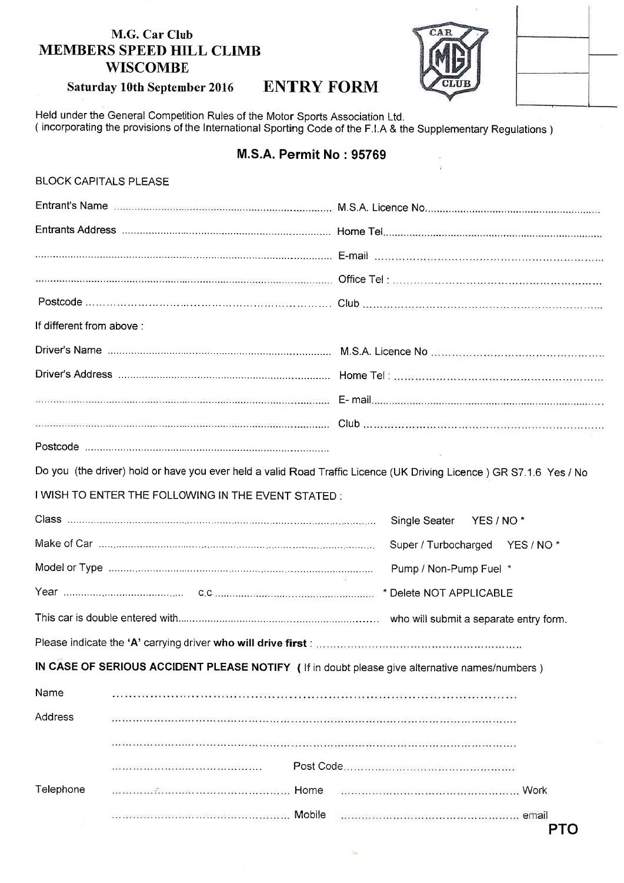# M.G. Car Club MEMBERS SPEED HILL CLIMB **WISCOMBE**





# Saturday 10th September 2016 ENTRY FORM

Held under the General Competition Rules of the Motor Sports Association Ltd. ( incorporating the provisions of the International Sporting Code of the F.l.A & the Supplementary Regulations )

# M.S.A. Permit No : 95769

| <b>BLOCK CAPITALS PLEASE</b>                                                                                        |                                                                                                                     |                                                                                                            |  |
|---------------------------------------------------------------------------------------------------------------------|---------------------------------------------------------------------------------------------------------------------|------------------------------------------------------------------------------------------------------------|--|
|                                                                                                                     |                                                                                                                     | Entrant's Name manual continuum communication and M.S.A. Licence No. 2008. Communication communication and |  |
|                                                                                                                     |                                                                                                                     |                                                                                                            |  |
|                                                                                                                     |                                                                                                                     |                                                                                                            |  |
|                                                                                                                     |                                                                                                                     |                                                                                                            |  |
|                                                                                                                     |                                                                                                                     |                                                                                                            |  |
| If different from above :                                                                                           |                                                                                                                     |                                                                                                            |  |
|                                                                                                                     |                                                                                                                     |                                                                                                            |  |
|                                                                                                                     |                                                                                                                     |                                                                                                            |  |
|                                                                                                                     |                                                                                                                     |                                                                                                            |  |
|                                                                                                                     |                                                                                                                     |                                                                                                            |  |
|                                                                                                                     |                                                                                                                     |                                                                                                            |  |
| Do you (the driver) hold or have you ever held a valid Road Traffic Licence (UK Driving Licence) GR S7.1.6 Yes / No |                                                                                                                     |                                                                                                            |  |
| I WISH TO ENTER THE FOLLOWING IN THE EVENT STATED:                                                                  |                                                                                                                     |                                                                                                            |  |
|                                                                                                                     |                                                                                                                     | Single Seater YES / NO*                                                                                    |  |
|                                                                                                                     |                                                                                                                     | Super / Turbocharged YES / NO*                                                                             |  |
|                                                                                                                     |                                                                                                                     | Pump / Non-Pump Fuel *                                                                                     |  |
|                                                                                                                     |                                                                                                                     | * Delete NOT APPLICABLE                                                                                    |  |
|                                                                                                                     |                                                                                                                     | who will submit a separate entry form.                                                                     |  |
| Please indicate the 'A' carrying driver who will drive first :                                                      |                                                                                                                     |                                                                                                            |  |
| IN CASE OF SERIOUS ACCIDENT PLEASE NOTIFY (If in doubt please give alternative names/numbers)                       |                                                                                                                     |                                                                                                            |  |
| Name                                                                                                                |                                                                                                                     |                                                                                                            |  |
| Address                                                                                                             |                                                                                                                     |                                                                                                            |  |
|                                                                                                                     |                                                                                                                     |                                                                                                            |  |
|                                                                                                                     | .<br>2014년 2월 2015년 1월 2014년 2월 2015년 2월 2015년 2월 2015년 2월 2015년 2월 2015년 2월 2015년 2월 2015년 2월 2015년 2월 2015년 2월 20 |                                                                                                            |  |
| Telephone                                                                                                           |                                                                                                                     |                                                                                                            |  |
|                                                                                                                     |                                                                                                                     | <b>PTO</b>                                                                                                 |  |